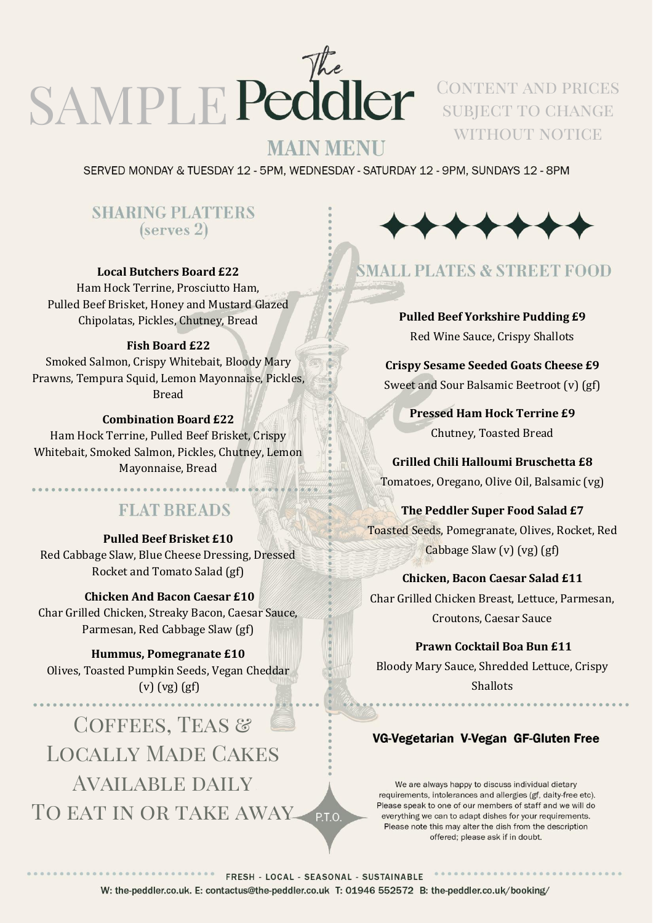

SUBJECT TO CHANGE WITHOUT NOTICE

## **MAIN MENU**

SERVED MONDAY & TUESDAY 12 - 5PM, WEDNESDAY - SATURDAY 12 - 9PM, SUNDAYS 12 - 8PM

## **SHARING PLATTERS**  $(serves 2)$

#### **Local Butchers Board £22**

Ham Hock Terrine, Prosciutto Ham, Pulled Beef Brisket, Honey and Mustard Glazed Chipolatas, Pickles, Chutney, Bread

#### **Fish Board £22**

Smoked Salmon, Crispy Whitebait, Bloody Mary Prawns, Tempura Squid, Lemon Mayonnaise, Pickles, Bread

#### **Combination Board £22**

Ham Hock Terrine, Pulled Beef Brisket, Crispy Whitebait, Smoked Salmon, Pickles, Chutney, Lemon Mayonnaise, Bread

## **FLAT BREADS**

#### **Pulled Beef Brisket £10**

Red Cabbage Slaw, Blue Cheese Dressing, Dressed Rocket and Tomato Salad (gf)

#### **Chicken And Bacon Caesar £10**

Char Grilled Chicken, Streaky Bacon, Caesar Sauce, Parmesan, Red Cabbage Slaw (gf)

#### **Hummus, Pomegranate £10**

Olives, Toasted Pumpkin Seeds, Vegan Cheddar (v) (vg) (gf)

COFFEES, TEAS & Locally Made Cakes Available daily TO EAT IN OR TAKE AWAY PTO



## **SMALL PLATES & STREET FOOD**

**Pulled Beef Yorkshire Pudding £9** Red Wine Sauce, Crispy Shallots

**Crispy Sesame Seeded Goats Cheese £9** Sweet and Sour Balsamic Beetroot (v) (gf)

> **Pressed Ham Hock Terrine £9** Chutney, Toasted Bread

**Grilled Chili Halloumi Bruschetta £8** Tomatoes, Oregano, Olive Oil, Balsamic (vg)

## **The Peddler Super Food Salad £7** Toasted Seeds, Pomegranate, Olives, Rocket, Red Cabbage Slaw (v) (vg) (gf)

### **Chicken, Bacon Caesar Salad £11**

Char Grilled Chicken Breast, Lettuce, Parmesan, Croutons, Caesar Sauce

**Prawn Cocktail Boa Bun £11** Bloody Mary Sauce, Shredded Lettuce, Crispy **Shallots** 

### VG-Vegetarian V-Vegan GF-Gluten Free

We are always happy to discuss individual dietary requirements, intolerances and allergies (gf, daity-free etc). Please speak to one of our members of staff and we will do everything we can to adapt dishes for your requirements. Please note this may alter the dish from the description offered; please ask if in doubt.

FRESH - LOCAL - SEASONAL - SUSTAINABLE W: the-peddler.co.uk. E: contactus@the-peddler.co.uk T: 01946 552572 B: the-peddler.co.uk/booking/